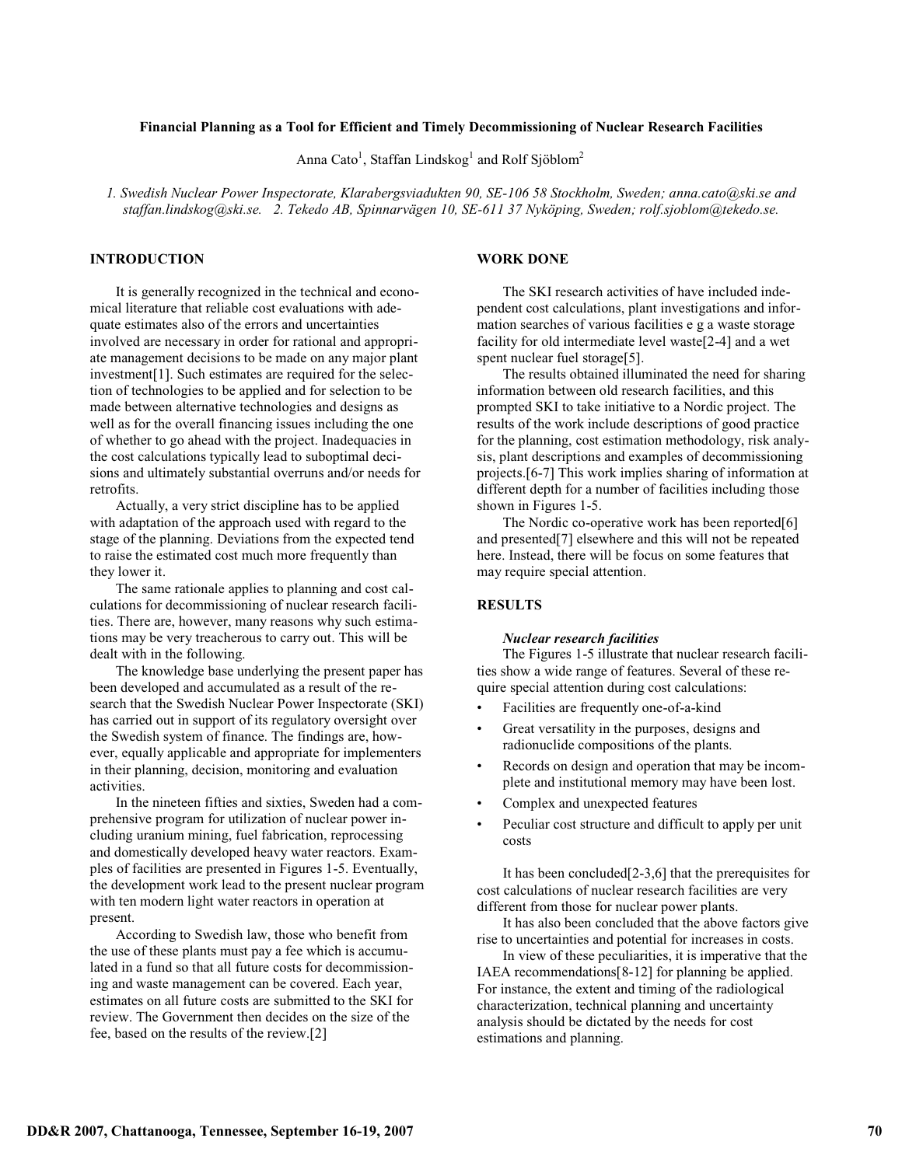### **Financial Planning as a Tool for Efficient and Timely Decommissioning of Nuclear Research Facilities**

Anna Cato<sup>1</sup>, Staffan Lindskog<sup>1</sup> and Rolf Sjöblom<sup>2</sup>

*1. Swedish Nuclear Power Inspectorate, Klarabergsviadukten 90, SE-106 58 Stockholm, Sweden; anna.cato@ski.se and staffan.lindskog@ski.se. 2. Tekedo AB, Spinnarvägen 10, SE-611 37 Nyköping, Sweden; rolf.sjoblom@tekedo.se.*

# **INTRODUCTION**

It is generally recognized in the technical and economical literature that reliable cost evaluations with adequate estimates also of the errors and uncertainties involved are necessary in order for rational and appropriate management decisions to be made on any major plant investment[1]. Such estimates are required for the selection of technologies to be applied and for selection to be made between alternative technologies and designs as well as for the overall financing issues including the one of whether to go ahead with the project. Inadequacies in the cost calculations typically lead to suboptimal decisions and ultimately substantial overruns and/or needs for retrofits.

Actually, a very strict discipline has to be applied with adaptation of the approach used with regard to the stage of the planning. Deviations from the expected tend to raise the estimated cost much more frequently than they lower it.

The same rationale applies to planning and cost calculations for decommissioning of nuclear research facilities. There are, however, many reasons why such estimations may be very treacherous to carry out. This will be dealt with in the following.

The knowledge base underlying the present paper has been developed and accumulated as a result of the research that the Swedish Nuclear Power Inspectorate (SKI) has carried out in support of its regulatory oversight over the Swedish system of finance. The findings are, however, equally applicable and appropriate for implementers in their planning, decision, monitoring and evaluation activities.

In the nineteen fifties and sixties, Sweden had a comprehensive program for utilization of nuclear power including uranium mining, fuel fabrication, reprocessing and domestically developed heavy water reactors. Examples of facilities are presented in Figures 1-5. Eventually, the development work lead to the present nuclear program with ten modern light water reactors in operation at present.

According to Swedish law, those who benefit from the use of these plants must pay a fee which is accumulated in a fund so that all future costs for decommissioning and waste management can be covered. Each year, estimates on all future costs are submitted to the SKI for review. The Government then decides on the size of the fee, based on the results of the review.[2]

# **WORK DONE**

The SKI research activities of have included independent cost calculations, plant investigations and information searches of various facilities e g a waste storage facility for old intermediate level waste[2-4] and a wet spent nuclear fuel storage[5].

The results obtained illuminated the need for sharing information between old research facilities, and this prompted SKI to take initiative to a Nordic project. The results of the work include descriptions of good practice for the planning, cost estimation methodology, risk analysis, plant descriptions and examples of decommissioning projects.[6-7] This work implies sharing of information at different depth for a number of facilities including those shown in Figures 1-5.

The Nordic co-operative work has been reported[6] and presented[7] elsewhere and this will not be repeated here. Instead, there will be focus on some features that may require special attention.

# **RESULTS**

# *Nuclear research facilities*

The Figures 1-5 illustrate that nuclear research facilities show a wide range of features. Several of these require special attention during cost calculations:

- Facilities are frequently one-of-a-kind
- Great versatility in the purposes, designs and radionuclide compositions of the plants.
- Records on design and operation that may be incomplete and institutional memory may have been lost.
- Complex and unexpected features
- Peculiar cost structure and difficult to apply per unit costs

It has been concluded[2-3,6] that the prerequisites for cost calculations of nuclear research facilities are very different from those for nuclear power plants.

It has also been concluded that the above factors give rise to uncertainties and potential for increases in costs.

In view of these peculiarities, it is imperative that the IAEA recommendations[8-12] for planning be applied. For instance, the extent and timing of the radiological characterization, technical planning and uncertainty analysis should be dictated by the needs for cost estimations and planning.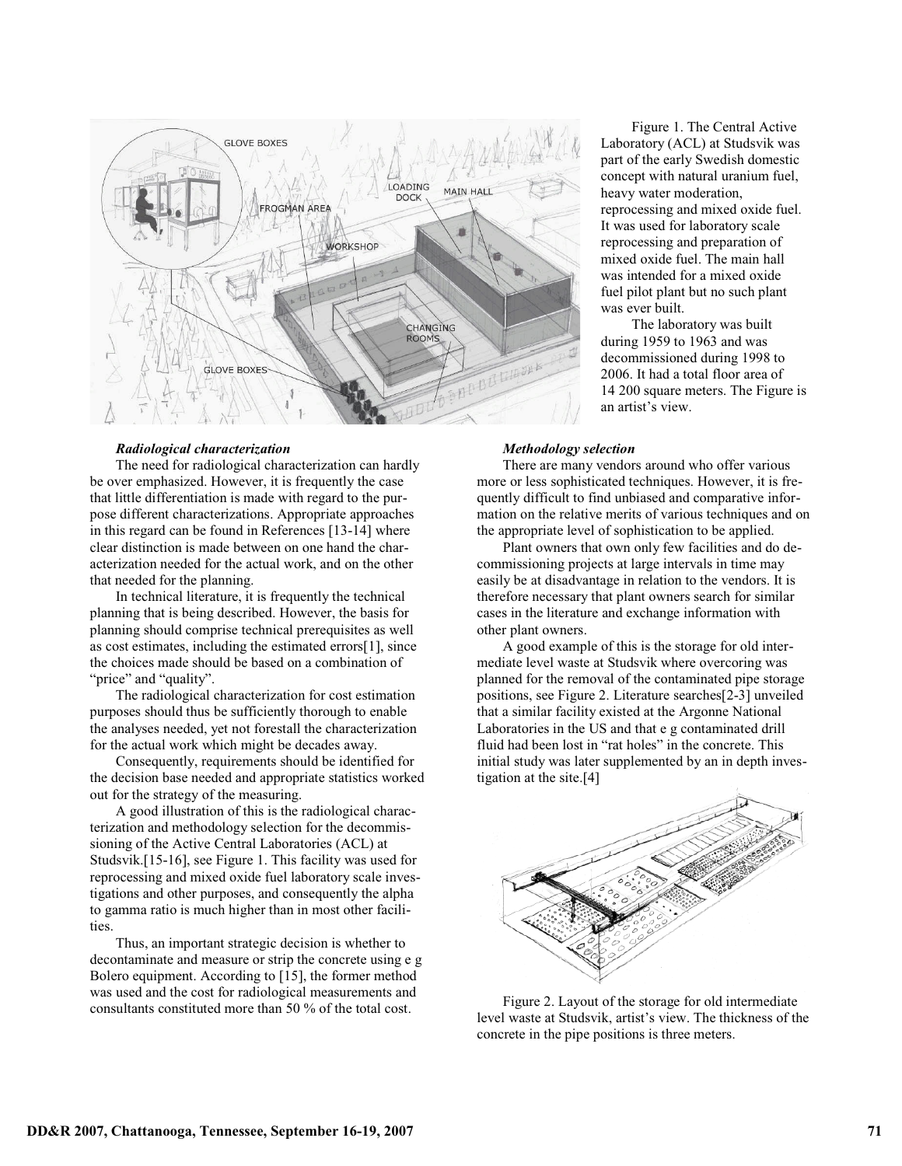

### *Radiological characterization*

The need for radiological characterization can hardly be over emphasized. However, it is frequently the case that little differentiation is made with regard to the purpose different characterizations. Appropriate approaches in this regard can be found in References [13-14] where clear distinction is made between on one hand the characterization needed for the actual work, and on the other that needed for the planning.

In technical literature, it is frequently the technical planning that is being described. However, the basis for planning should comprise technical prerequisites as well as cost estimates, including the estimated errors[1], since the choices made should be based on a combination of "price" and "quality".

The radiological characterization for cost estimation purposes should thus be sufficiently thorough to enable the analyses needed, yet not forestall the characterization for the actual work which might be decades away.

Consequently, requirements should be identified for the decision base needed and appropriate statistics worked out for the strategy of the measuring.

A good illustration of this is the radiological characterization and methodology selection for the decommissioning of the Active Central Laboratories (ACL) at Studsvik.[15-16], see Figure 1. This facility was used for reprocessing and mixed oxide fuel laboratory scale investigations and other purposes, and consequently the alpha to gamma ratio is much higher than in most other facilities.

Thus, an important strategic decision is whether to decontaminate and measure or strip the concrete using e g Bolero equipment. According to [15], the former method was used and the cost for radiological measurements and consultants constituted more than 50 % of the total cost.

Figure 1. The Central Active Laboratory (ACL) at Studsvik was part of the early Swedish domestic concept with natural uranium fuel, heavy water moderation, reprocessing and mixed oxide fuel. It was used for laboratory scale reprocessing and preparation of mixed oxide fuel. The main hall was intended for a mixed oxide fuel pilot plant but no such plant was ever built.

The laboratory was built during 1959 to 1963 and was decommissioned during 1998 to 2006. It had a total floor area of 14 200 square meters. The Figure is an artist's view.

#### *Methodology selection*

There are many vendors around who offer various more or less sophisticated techniques. However, it is frequently difficult to find unbiased and comparative information on the relative merits of various techniques and on the appropriate level of sophistication to be applied.

Plant owners that own only few facilities and do decommissioning projects at large intervals in time may easily be at disadvantage in relation to the vendors. It is therefore necessary that plant owners search for similar cases in the literature and exchange information with other plant owners.

A good example of this is the storage for old intermediate level waste at Studsvik where overcoring was planned for the removal of the contaminated pipe storage positions, see Figure 2. Literature searches[2-3] unveiled that a similar facility existed at the Argonne National Laboratories in the US and that e g contaminated drill fluid had been lost in "rat holes" in the concrete. This initial study was later supplemented by an in depth investigation at the site.[4]



Figure 2. Layout of the storage for old intermediate level waste at Studsvik, artist's view. The thickness of the concrete in the pipe positions is three meters.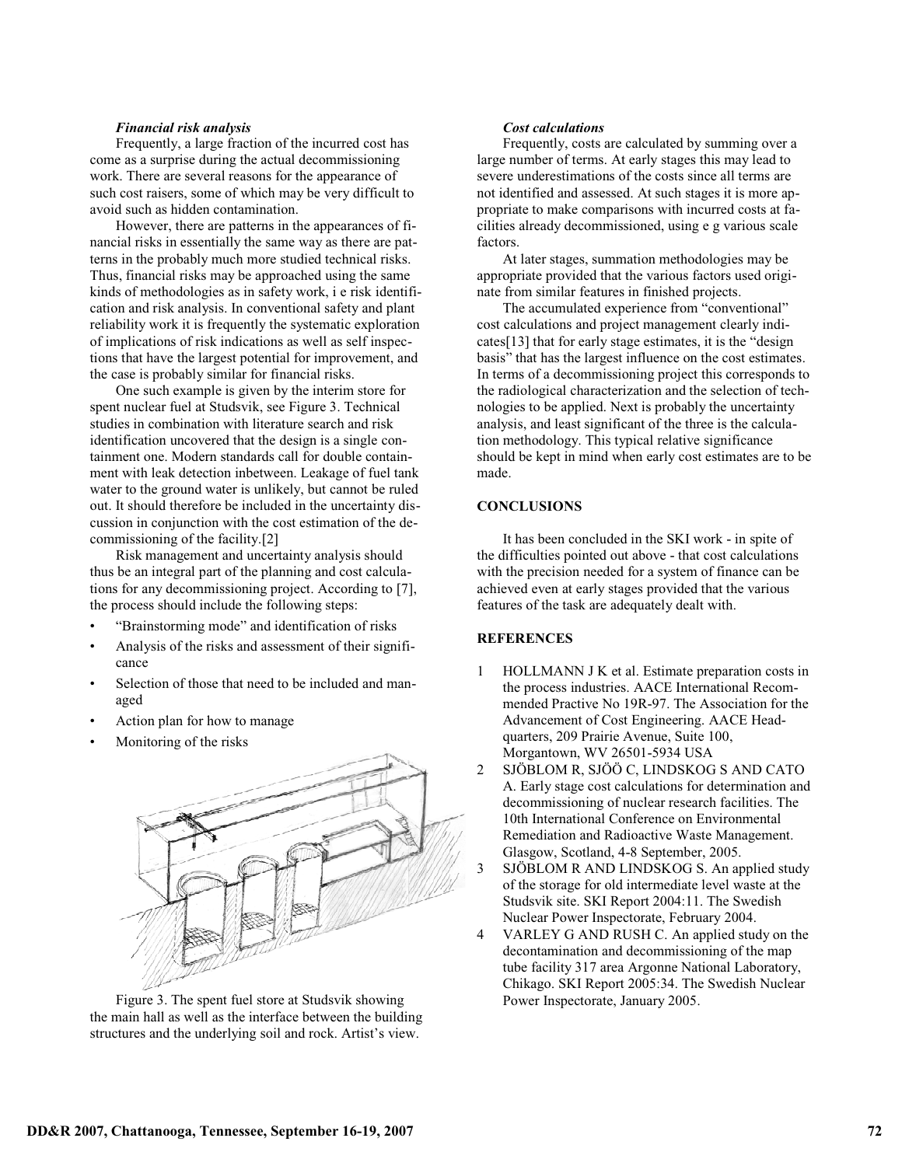### *Financial risk analysis*

Frequently, a large fraction of the incurred cost has come as a surprise during the actual decommissioning work. There are several reasons for the appearance of such cost raisers, some of which may be very difficult to avoid such as hidden contamination.

However, there are patterns in the appearances of financial risks in essentially the same way as there are patterns in the probably much more studied technical risks. Thus, financial risks may be approached using the same kinds of methodologies as in safety work, i e risk identification and risk analysis. In conventional safety and plant reliability work it is frequently the systematic exploration of implications of risk indications as well as self inspections that have the largest potential for improvement, and the case is probably similar for financial risks.

One such example is given by the interim store for spent nuclear fuel at Studsvik, see Figure 3. Technical studies in combination with literature search and risk identification uncovered that the design is a single containment one. Modern standards call for double containment with leak detection inbetween. Leakage of fuel tank water to the ground water is unlikely, but cannot be ruled out. It should therefore be included in the uncertainty discussion in conjunction with the cost estimation of the decommissioning of the facility.[2]

Risk management and uncertainty analysis should thus be an integral part of the planning and cost calculations for any decommissioning project. According to [7], the process should include the following steps:

- "Brainstorming mode" and identification of risks
- Analysis of the risks and assessment of their significance
- Selection of those that need to be included and managed
- Action plan for how to manage
- Monitoring of the risks



Figure 3. The spent fuel store at Studsvik showing the main hall as well as the interface between the building structures and the underlying soil and rock. Artist's view.

#### *Cost calculations*

Frequently, costs are calculated by summing over a large number of terms. At early stages this may lead to severe underestimations of the costs since all terms are not identified and assessed. At such stages it is more appropriate to make comparisons with incurred costs at facilities already decommissioned, using e g various scale factors.

At later stages, summation methodologies may be appropriate provided that the various factors used originate from similar features in finished projects.

The accumulated experience from "conventional" cost calculations and project management clearly indicates[13] that for early stage estimates, it is the "design basis" that has the largest influence on the cost estimates. In terms of a decommissioning project this corresponds to the radiological characterization and the selection of technologies to be applied. Next is probably the uncertainty analysis, and least significant of the three is the calculation methodology. This typical relative significance should be kept in mind when early cost estimates are to be made.

# **CONCLUSIONS**

It has been concluded in the SKI work - in spite of the difficulties pointed out above - that cost calculations with the precision needed for a system of finance can be achieved even at early stages provided that the various features of the task are adequately dealt with.

# **REFERENCES**

- 1 HOLLMANN J K et al. Estimate preparation costs in the process industries. AACE International Recommended Practive No 19R-97. The Association for the Advancement of Cost Engineering. AACE Headquarters, 209 Prairie Avenue, Suite 100, Morgantown, WV 26501-5934 USA
- 2 SJÖBLOM R, SJÖÖ C, LINDSKOG S AND CATO A. Early stage cost calculations for determination and decommissioning of nuclear research facilities. The 10th International Conference on Environmental Remediation and Radioactive Waste Management. Glasgow, Scotland, 4-8 September, 2005.
- 3 SJÖBLOM R AND LINDSKOG S. An applied study of the storage for old intermediate level waste at the Studsvik site. SKI Report 2004:11. The Swedish Nuclear Power Inspectorate, February 2004.
- 4 VARLEY G AND RUSH C. An applied study on the decontamination and decommissioning of the map tube facility 317 area Argonne National Laboratory, Chikago. SKI Report 2005:34. The Swedish Nuclear Power Inspectorate, January 2005.